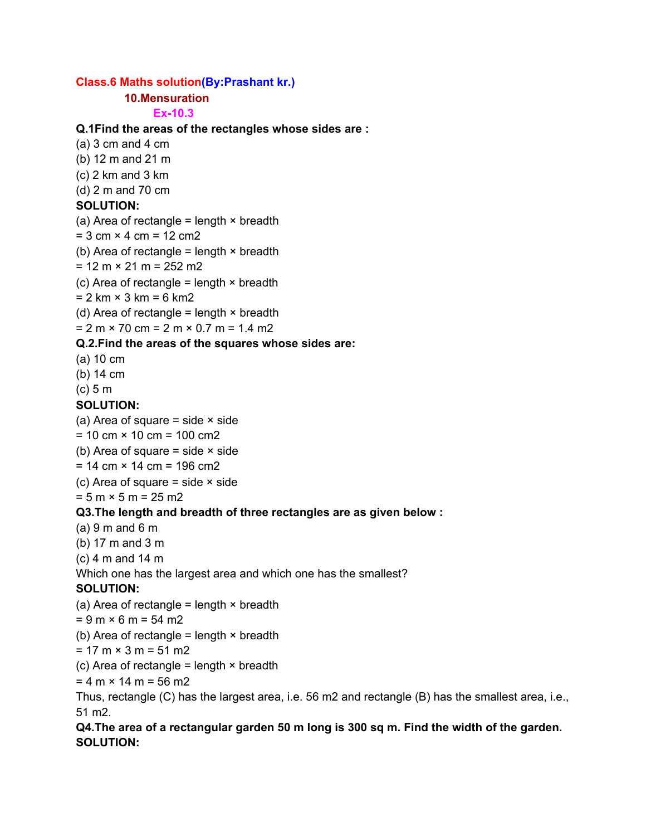### **Class.6 Maths solution(By:Prashant kr.)**

### **10.Mensuration**

#### **Ex-10.3**

### **Q.1Find the areas of the rectangles whose sides are :**

- $(a)$  3 cm and 4 cm
- (b) 12 m and 21 m
- (c) 2 km and 3 km
- (d) 2 m and 70 cm

# **SOLUTION:**

- (a) Area of rectangle = length  $\times$  breadth
- $= 3$  cm  $\times$  4 cm  $= 12$  cm2
- (b) Area of rectangle = length  $\times$  breadth
- $= 12 m \times 21 m = 252 m2$
- (c) Area of rectangle = length  $\times$  breadth
- $= 2 \text{ km} \times 3 \text{ km} = 6 \text{ km}$
- (d) Area of rectangle = length  $\times$  breadth
- $= 2 m \times 70 cm = 2 m \times 0.7 m = 1.4 m2$

### **Q.2.Find the areas of the squares whose sides are:**

- (a) 10 cm
- (b) 14 cm
- (c) 5 m

### **SOLUTION:**

- (a) Area of square  $=$  side  $\times$  side
- $= 10$  cm  $\times$  10 cm  $= 100$  cm2
- (b) Area of square  $=$  side  $\times$  side
- $= 14$  cm  $\times$  14 cm  $= 196$  cm2
- (c) Area of square  $=$  side  $\times$  side
- $= 5 m \times 5 m = 25 m2$

### **Q3.The length and breadth of three rectangles are as given below :**

- $(a) 9 m$  and 6 m
- (b) 17 m and 3 m
- (c) 4 m and 14 m
- Which one has the largest area and which one has the smallest?

### **SOLUTION:**

- (a) Area of rectangle = length  $\times$  breadth
- $= 9 m \times 6 m = 54 m2$
- (b) Area of rectangle = length  $\times$  breadth
- $= 17 m \times 3 m = 51 m2$
- (c) Area of rectangle = length  $\times$  breadth
- $= 4 \text{ m} \times 14 \text{ m} = 56 \text{ m}$
- Thus, rectangle (C) has the largest area, i.e. 56 m2 and rectangle (B) has the smallest area, i.e., 51 m2.

# **Q4.The area of a rectangular garden 50 m long is 300 sq m. Find the width of the garden. SOLUTION:**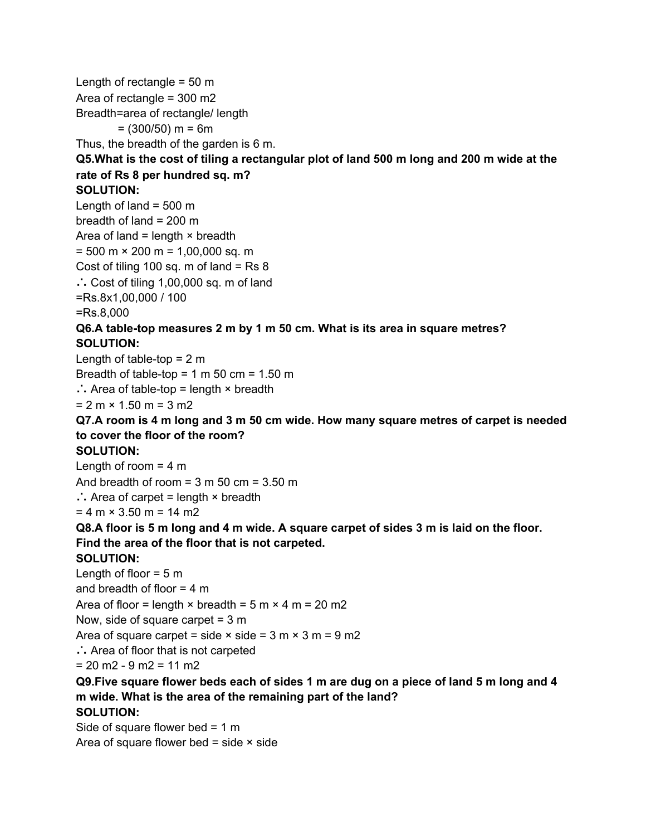Length of rectangle  $= 50$  m Area of rectangle = 300 m2 Breadth=area of rectangle/ length  $= (300/50)$  m = 6m Thus, the breadth of the garden is 6 m. Q5. What is the cost of tiling a rectangular plot of land 500 m long and 200 m wide at the **rate of Rs 8 per hundred sq. m? SOLUTION:** Length of land  $=$  500 m breadth of land  $= 200$  m Area of land = length  $\times$  breadth  $= 500$  m  $\times$  200 m = 1,00,000 sq. m Cost of tiling 100 sq. m of land = Rs 8 ∴ Cost of tiling 1,00,000 sq. m of land =Rs.8x1,00,000 / 100 =Rs.8,000 **Q6.A table-top measures 2 m by 1 m 50 cm. What is its area in square metres? SOLUTION:** Length of table-top  $= 2$  m Breadth of table-top =  $1 \text{ m } 50 \text{ cm} = 1.50 \text{ m}$ ∴ Area of table-top = length × breadth  $= 2 m \times 1.50 m = 3 m2$ **Q7.A room is 4 m long and 3 m 50 cm wide. How many square metres of carpet is needed to cover the floor of the room? SOLUTION:** Length of room  $= 4$  m And breadth of room =  $3 \text{ m } 50 \text{ cm} = 3.50 \text{ m}$ ∴ Area of carpet = length × breadth  $= 4$  m  $\times$  3.50 m = 14 m2 Q8.A floor is 5 m long and 4 m wide. A square carpet of sides 3 m is laid on the floor. **Find the area of the floor that is not carpeted. SOLUTION:** Length of floor  $= 5$  m and breadth of floor  $= 4$  m Area of floor = length  $\times$  breadth = 5 m  $\times$  4 m = 20 m2 Now, side of square carpet = 3 m Area of square carpet = side  $\times$  side = 3 m  $\times$  3 m = 9 m2 ∴ Area of floor that is not carpeted  $= 20$  m2 - 9 m2 = 11 m2 Q9. Five square flower beds each of sides 1 m are dug on a piece of land 5 m long and 4 **m wide. What is the area of the remaining part of the land? SOLUTION:** Side of square flower bed  $= 1 \text{ m}$ Area of square flower bed = side  $\times$  side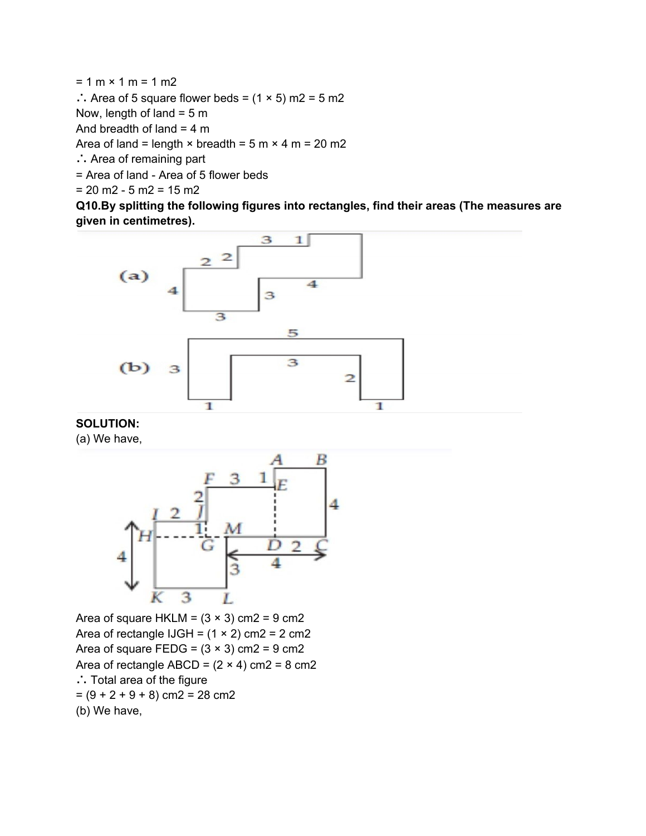$= 1 m \times 1 m = 1 m2$ ∴ Area of 5 square flower beds =  $(1 × 5)$  m2 = 5 m2 Now, length of land  $= 5$  m And breadth of land  $= 4$  m Area of land = length  $\times$  breadth = 5 m  $\times$  4 m = 20 m2 ∴ Area of remaining part = Area of land - Area of 5 flower beds

 $= 20$  m2 - 5 m2 = 15 m2

**Q10.By splitting the following figures into rectangles, find their areas (The measures are given in centimetres).**



### **SOLUTION:**

(a) We have,



Area of square HKLM =  $(3 \times 3)$  cm2 = 9 cm2 Area of rectangle IJGH =  $(1 \times 2)$  cm2 = 2 cm2 Area of square FEDG =  $(3 \times 3)$  cm2 = 9 cm2 Area of rectangle ABCD =  $(2 \times 4)$  cm2 = 8 cm2 ∴ Total area of the figure  $=(9 + 2 + 9 + 8)$  cm2 = 28 cm2 (b) We have,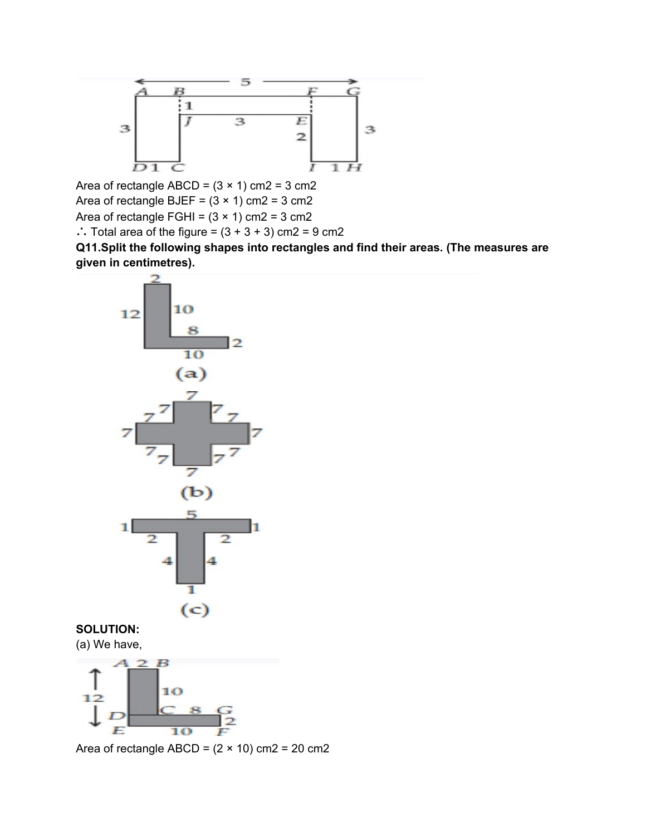

Area of rectangle ABCD =  $(3 \times 1)$  cm2 = 3 cm2 Area of rectangle BJEF =  $(3 \times 1)$  cm2 = 3 cm2 Area of rectangle FGHI =  $(3 \times 1)$  cm2 = 3 cm2 ∴ Total area of the figure =  $(3 + 3 + 3)$  cm2 = 9 cm2

**Q11.Split the following shapes into rectangles and find their areas. (The measures are given in centimetres).**



### **SOLUTION:** (a) We have,



Area of rectangle ABCD =  $(2 \times 10)$  cm2 = 20 cm2